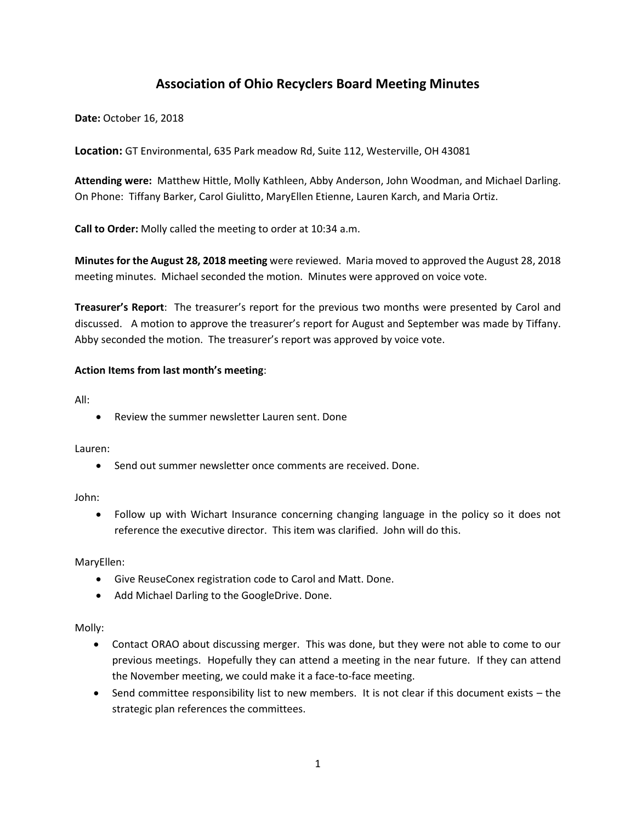# **Association of Ohio Recyclers Board Meeting Minutes**

**Date:** October 16, 2018

**Location:** GT Environmental, 635 Park meadow Rd, Suite 112, Westerville, OH 43081

**Attending were:** Matthew Hittle, Molly Kathleen, Abby Anderson, John Woodman, and Michael Darling. On Phone: Tiffany Barker, Carol Giulitto, MaryEllen Etienne, Lauren Karch, and Maria Ortiz.

**Call to Order:** Molly called the meeting to order at 10:34 a.m.

**Minutes for the August 28, 2018 meeting** were reviewed. Maria moved to approved the August 28, 2018 meeting minutes. Michael seconded the motion. Minutes were approved on voice vote.

**Treasurer's Report**: The treasurer's report for the previous two months were presented by Carol and discussed. A motion to approve the treasurer's report for August and September was made by Tiffany. Abby seconded the motion. The treasurer's report was approved by voice vote.

## **Action Items from last month's meeting**:

All:

Review the summer newsletter Lauren sent. Done

Lauren:

• Send out summer newsletter once comments are received. Done.

John:

 Follow up with Wichart Insurance concerning changing language in the policy so it does not reference the executive director. This item was clarified. John will do this.

MaryEllen:

- Give ReuseConex registration code to Carol and Matt. Done.
- Add Michael Darling to the GoogleDrive. Done.

Molly:

- Contact ORAO about discussing merger. This was done, but they were not able to come to our previous meetings. Hopefully they can attend a meeting in the near future. If they can attend the November meeting, we could make it a face-to-face meeting.
- Send committee responsibility list to new members. It is not clear if this document exists the strategic plan references the committees.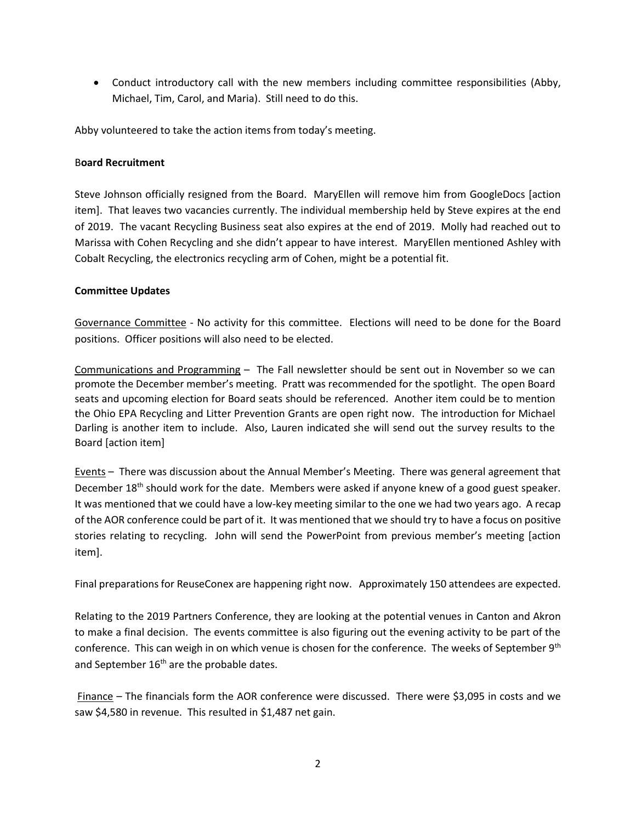Conduct introductory call with the new members including committee responsibilities (Abby, Michael, Tim, Carol, and Maria). Still need to do this.

Abby volunteered to take the action items from today's meeting.

## B**oard Recruitment**

Steve Johnson officially resigned from the Board. MaryEllen will remove him from GoogleDocs [action item]. That leaves two vacancies currently. The individual membership held by Steve expires at the end of 2019. The vacant Recycling Business seat also expires at the end of 2019. Molly had reached out to Marissa with Cohen Recycling and she didn't appear to have interest. MaryEllen mentioned Ashley with Cobalt Recycling, the electronics recycling arm of Cohen, might be a potential fit.

## **Committee Updates**

Governance Committee - No activity for this committee. Elections will need to be done for the Board positions. Officer positions will also need to be elected.

Communications and Programming – The Fall newsletter should be sent out in November so we can promote the December member's meeting. Pratt was recommended for the spotlight. The open Board seats and upcoming election for Board seats should be referenced. Another item could be to mention the Ohio EPA Recycling and Litter Prevention Grants are open right now. The introduction for Michael Darling is another item to include. Also, Lauren indicated she will send out the survey results to the Board [action item]

Events – There was discussion about the Annual Member's Meeting. There was general agreement that December 18<sup>th</sup> should work for the date. Members were asked if anyone knew of a good guest speaker. It was mentioned that we could have a low-key meeting similar to the one we had two years ago. A recap of the AOR conference could be part of it. It was mentioned that we should try to have a focus on positive stories relating to recycling. John will send the PowerPoint from previous member's meeting [action item].

Final preparations for ReuseConex are happening right now. Approximately 150 attendees are expected.

Relating to the 2019 Partners Conference, they are looking at the potential venues in Canton and Akron to make a final decision. The events committee is also figuring out the evening activity to be part of the conference. This can weigh in on which venue is chosen for the conference. The weeks of September 9<sup>th</sup> and September 16<sup>th</sup> are the probable dates.

Finance – The financials form the AOR conference were discussed. There were \$3,095 in costs and we saw \$4,580 in revenue. This resulted in \$1,487 net gain.